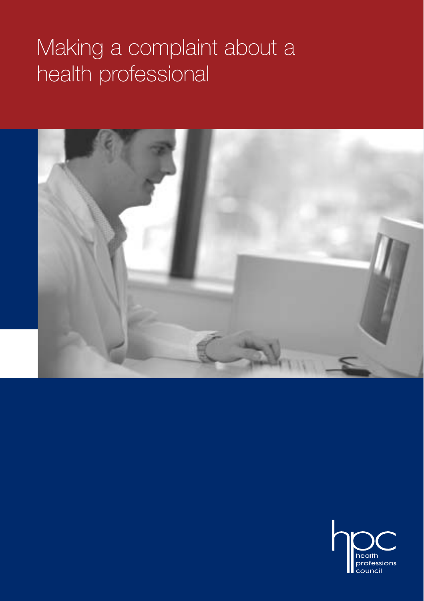# Making a complaint about a health professional



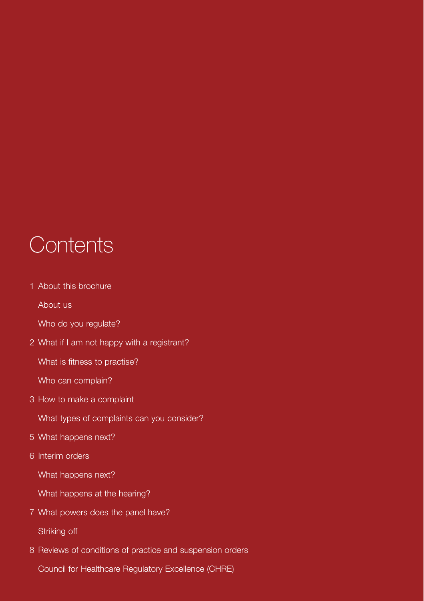## **Contents**

1 About this brochure

About us

Who do you regulate?

2 What if I am not happy with a registrant?

What is fitness to practise?

Who can complain?

3 How to make a complaint

What types of complaints can you consider?

- 5 What happens next?
- 6 Interim orders

What happens next?

What happens at the hearing?

7 What powers does the panel have?

Striking off

8 Reviews of conditions of practice and suspension orders

Council for Healthcare Regulatory Excellence (CHRE)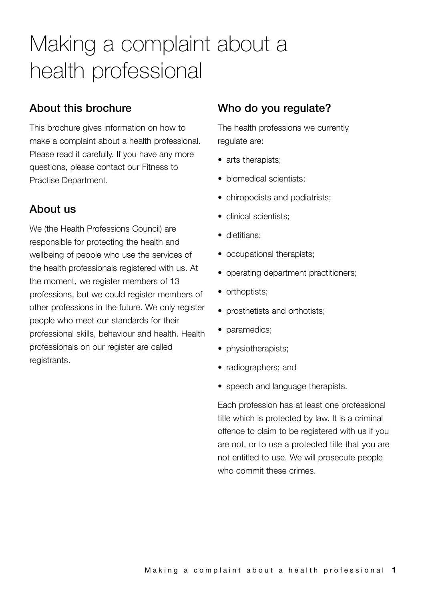## Making a complaint about a health professional

## **About this brochure**

This brochure gives information on how to make a complaint about a health professional. Please read it carefully. If you have any more questions, please contact our Fitness to Practise Department.

## **About us**

We (the Health Professions Council) are responsible for protecting the health and wellbeing of people who use the services of the health professionals registered with us. At the moment, we register members of 13 professions, but we could register members of other professions in the future. We only register people who meet our standards for their professional skills, behaviour and health. Health professionals on our register are called registrants.

### **Who do you regulate?**

The health professions we currently regulate are:

- arts therapists;
- biomedical scientists;
- chiropodists and podiatrists;
- clinical scientists:
- dietitians;
- occupational therapists;
- operating department practitioners;
- orthoptists;
- prosthetists and orthotists:
- paramedics;
- physiotherapists;
- radiographers; and
- speech and language therapists.

Each profession has at least one professional title which is protected by law. It is a criminal offence to claim to be registered with us if you are not, or to use a protected title that you are not entitled to use. We will prosecute people who commit these crimes.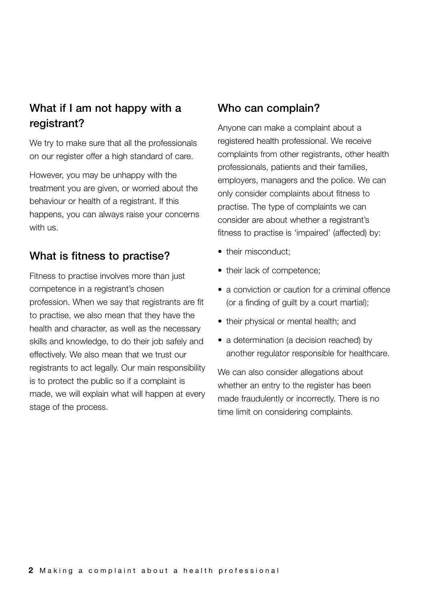## **What if I am not happy with a registrant?**

We try to make sure that all the professionals on our register offer a high standard of care.

However, you may be unhappy with the treatment you are given, or worried about the behaviour or health of a registrant. If this happens, you can always raise your concerns with us.

### **What is fitness to practise?**

Fitness to practise involves more than just competence in a registrant's chosen profession. When we say that registrants are fit to practise, we also mean that they have the health and character, as well as the necessary skills and knowledge, to do their job safely and effectively. We also mean that we trust our registrants to act legally. Our main responsibility is to protect the public so if a complaint is made, we will explain what will happen at every stage of the process.

#### **Who can complain?**

Anyone can make a complaint about a registered health professional. We receive complaints from other registrants, other health professionals, patients and their families, employers, managers and the police. We can only consider complaints about fitness to practise. The type of complaints we can consider are about whether a registrant's fitness to practise is 'impaired' (affected) by:

- their misconduct:
- their lack of competence;
- a conviction or caution for a criminal offence (or a finding of guilt by a court martial);
- their physical or mental health; and
- a determination (a decision reached) by another regulator responsible for healthcare.

We can also consider allegations about whether an entry to the register has been made fraudulently or incorrectly. There is no time limit on considering complaints.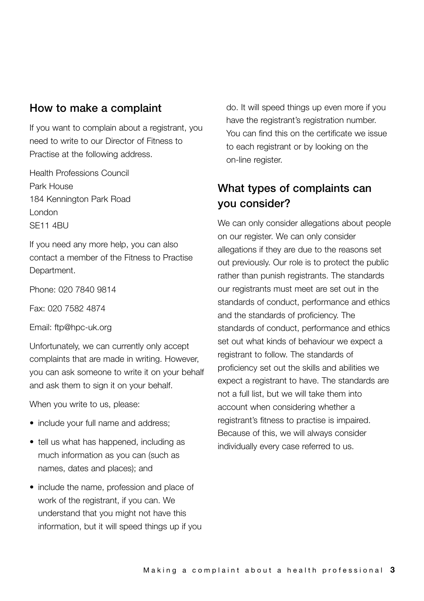#### **How to make a complaint**

If you want to complain about a registrant, you need to write to our Director of Fitness to Practise at the following address.

Health Professions Council Park House 184 Kennington Park Road London SE11 4BU

If you need any more help, you can also contact a member of the Fitness to Practise Department.

Phone: 020 7840 9814

Fax: 020 7582 4874

Email: ftp@hpc-uk.org

Unfortunately, we can currently only accept complaints that are made in writing. However, you can ask someone to write it on your behalf and ask them to sign it on your behalf.

When you write to us, please:

- include your full name and address;
- tell us what has happened, including as much information as you can (such as names, dates and places); and
- include the name, profession and place of work of the registrant, if you can. We understand that you might not have this information, but it will speed things up if you

do. It will speed things up even more if you have the registrant's registration number. You can find this on the certificate we issue to each registrant or by looking on the on-line register.

## **What types of complaints can you consider?**

We can only consider allegations about people on our register. We can only consider allegations if they are due to the reasons set out previously. Our role is to protect the public rather than punish registrants. The standards our registrants must meet are set out in the standards of conduct, performance and ethics and the standards of proficiency. The standards of conduct, performance and ethics set out what kinds of behaviour we expect a registrant to follow. The standards of proficiency set out the skills and abilities we expect a registrant to have. The standards are not a full list, but we will take them into account when considering whether a registrant's fitness to practise is impaired. Because of this, we will always consider individually every case referred to us.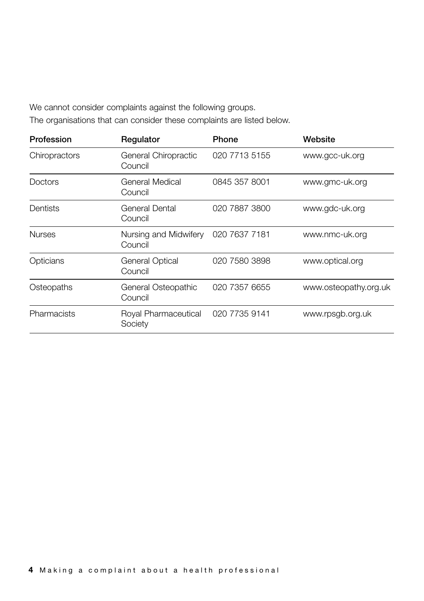We cannot consider complaints against the following groups.

The organisations that can consider these complaints are listed below.

| Profession    | Regulator                        | Phone         | Website               |
|---------------|----------------------------------|---------------|-----------------------|
| Chiropractors | General Chiropractic<br>Council  | 020 7713 5155 | www.gcc-uk.org        |
| Doctors       | General Medical<br>Council       | 0845 357 8001 | www.gmc-uk.org        |
| Dentists      | General Dental<br>Council        | 020 7887 3800 | www.gdc-uk.org        |
| <b>Nurses</b> | Nursing and Midwifery<br>Council | 020 7637 7181 | www.nmc-uk.org        |
| Opticians     | General Optical<br>Council       | 020 7580 3898 | www.optical.org       |
| Osteopaths    | General Osteopathic<br>Council   | 020 7357 6655 | www.osteopathy.org.uk |
| Pharmacists   | Royal Pharmaceutical<br>Society  | 020 7735 9141 | www.rpsgb.org.uk      |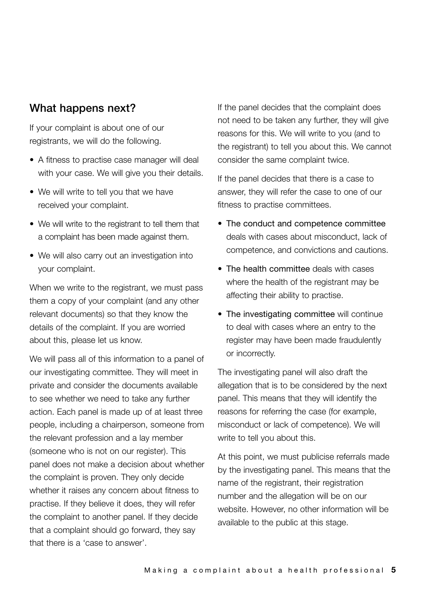#### **What happens next?**

If your complaint is about one of our registrants, we will do the following.

- A fitness to practise case manager will deal with your case. We will give you their details.
- We will write to tell you that we have received your complaint.
- We will write to the registrant to tell them that a complaint has been made against them.
- We will also carry out an investigation into your complaint.

When we write to the registrant, we must pass them a copy of your complaint (and any other relevant documents) so that they know the details of the complaint. If you are worried about this, please let us know.

We will pass all of this information to a panel of our investigating committee. They will meet in private and consider the documents available to see whether we need to take any further action. Each panel is made up of at least three people, including a chairperson, someone from the relevant profession and a lay member (someone who is not on our register). This panel does not make a decision about whether the complaint is proven. They only decide whether it raises any concern about fitness to practise. If they believe it does, they will refer the complaint to another panel. If they decide that a complaint should go forward, they say that there is a 'case to answer'.

If the panel decides that the complaint does not need to be taken any further, they will give reasons for this. We will write to you (and to the registrant) to tell you about this. We cannot consider the same complaint twice.

If the panel decides that there is a case to answer, they will refer the case to one of our fitness to practise committees.

- The conduct and competence committee deals with cases about misconduct, lack of competence, and convictions and cautions.
- The health committee deals with cases where the health of the registrant may be affecting their ability to practise.
- The investigating committee will continue to deal with cases where an entry to the register may have been made fraudulently or incorrectly.

The investigating panel will also draft the allegation that is to be considered by the next panel. This means that they will identify the reasons for referring the case (for example, misconduct or lack of competence). We will write to tell you about this.

At this point, we must publicise referrals made by the investigating panel. This means that the name of the registrant, their registration number and the allegation will be on our website. However, no other information will be available to the public at this stage.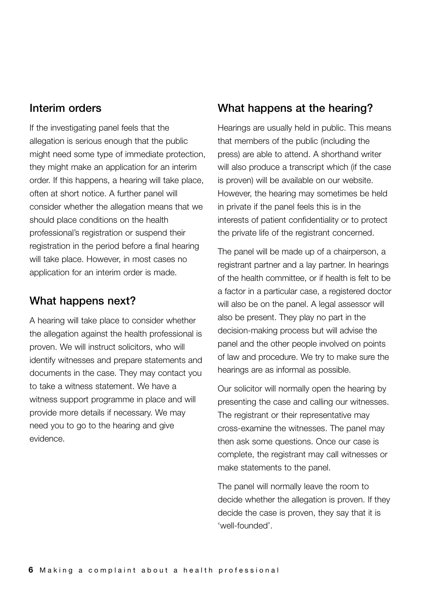#### **Interim orders**

If the investigating panel feels that the allegation is serious enough that the public might need some type of immediate protection, they might make an application for an interim order. If this happens, a hearing will take place, often at short notice. A further panel will consider whether the allegation means that we should place conditions on the health professional's registration or suspend their registration in the period before a final hearing will take place. However, in most cases no application for an interim order is made.

#### **What happens next?**

A hearing will take place to consider whether the allegation against the health professional is proven. We will instruct solicitors, who will identify witnesses and prepare statements and documents in the case. They may contact you to take a witness statement. We have a witness support programme in place and will provide more details if necessary. We may need you to go to the hearing and give evidence.

## **What happens at the hearing?**

Hearings are usually held in public. This means that members of the public (including the press) are able to attend. A shorthand writer will also produce a transcript which (if the case is proven) will be available on our website. However, the hearing may sometimes be held in private if the panel feels this is in the interests of patient confidentiality or to protect the private life of the registrant concerned.

The panel will be made up of a chairperson, a registrant partner and a lay partner. In hearings of the health committee, or if health is felt to be a factor in a particular case, a registered doctor will also be on the panel. A legal assessor will also be present. They play no part in the decision-making process but will advise the panel and the other people involved on points of law and procedure. We try to make sure the hearings are as informal as possible.

Our solicitor will normally open the hearing by presenting the case and calling our witnesses. The registrant or their representative may cross-examine the witnesses. The panel may then ask some questions. Once our case is complete, the registrant may call witnesses or make statements to the panel.

The panel will normally leave the room to decide whether the allegation is proven. If they decide the case is proven, they say that it is 'well-founded'.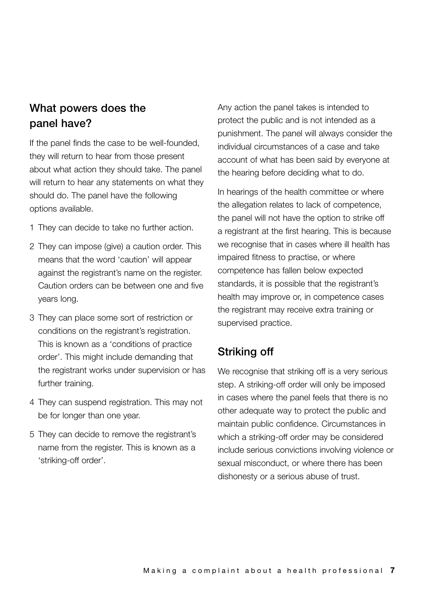## **What powers does the panel have?**

If the panel finds the case to be well-founded, they will return to hear from those present about what action they should take. The panel will return to hear any statements on what they should do. The panel have the following options available.

- 1 They can decide to take no further action.
- 2 They can impose (give) a caution order. This means that the word 'caution' will appear against the registrant's name on the register. Caution orders can be between one and five years long.
- 3 They can place some sort of restriction or conditions on the registrant's registration. This is known as a 'conditions of practice order'. This might include demanding that the registrant works under supervision or has further training.
- 4 They can suspend registration. This may not be for longer than one year.
- 5 They can decide to remove the registrant's name from the register. This is known as a 'striking-off order'.

Any action the panel takes is intended to protect the public and is not intended as a punishment. The panel will always consider the individual circumstances of a case and take account of what has been said by everyone at the hearing before deciding what to do.

In hearings of the health committee or where the allegation relates to lack of competence, the panel will not have the option to strike off a registrant at the first hearing. This is because we recognise that in cases where ill health has impaired fitness to practise, or where competence has fallen below expected standards, it is possible that the registrant's health may improve or, in competence cases the registrant may receive extra training or supervised practice.

#### **Striking off**

We recognise that striking off is a very serious step. A striking-off order will only be imposed in cases where the panel feels that there is no other adequate way to protect the public and maintain public confidence. Circumstances in which a striking-off order may be considered include serious convictions involving violence or sexual misconduct, or where there has been dishonesty or a serious abuse of trust.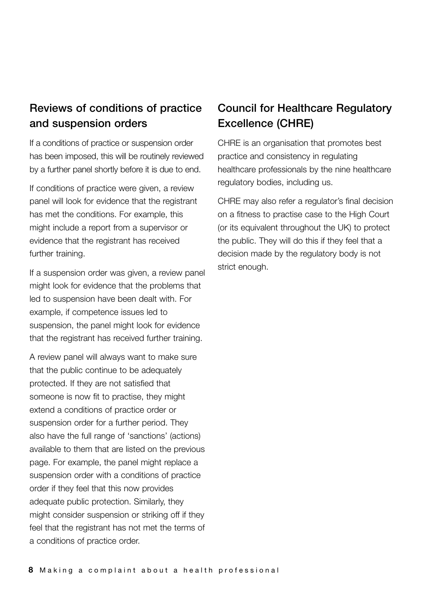## **Reviews of conditions of practice and suspension orders**

If a conditions of practice or suspension order has been imposed, this will be routinely reviewed by a further panel shortly before it is due to end.

If conditions of practice were given, a review panel will look for evidence that the registrant has met the conditions. For example, this might include a report from a supervisor or evidence that the registrant has received further training.

If a suspension order was given, a review panel might look for evidence that the problems that led to suspension have been dealt with. For example, if competence issues led to suspension, the panel might look for evidence that the registrant has received further training.

A review panel will always want to make sure that the public continue to be adequately protected. If they are not satisfied that someone is now fit to practise, they might extend a conditions of practice order or suspension order for a further period. They also have the full range of 'sanctions' (actions) available to them that are listed on the previous page. For example, the panel might replace a suspension order with a conditions of practice order if they feel that this now provides adequate public protection. Similarly, they might consider suspension or striking off if they feel that the registrant has not met the terms of a conditions of practice order.

## **Council for Healthcare Regulatory Excellence (CHRE)**

CHRE is an organisation that promotes best practice and consistency in regulating healthcare professionals by the nine healthcare regulatory bodies, including us.

CHRE may also refer a regulator's final decision on a fitness to practise case to the High Court (or its equivalent throughout the UK) to protect the public. They will do this if they feel that a decision made by the regulatory body is not strict enough.